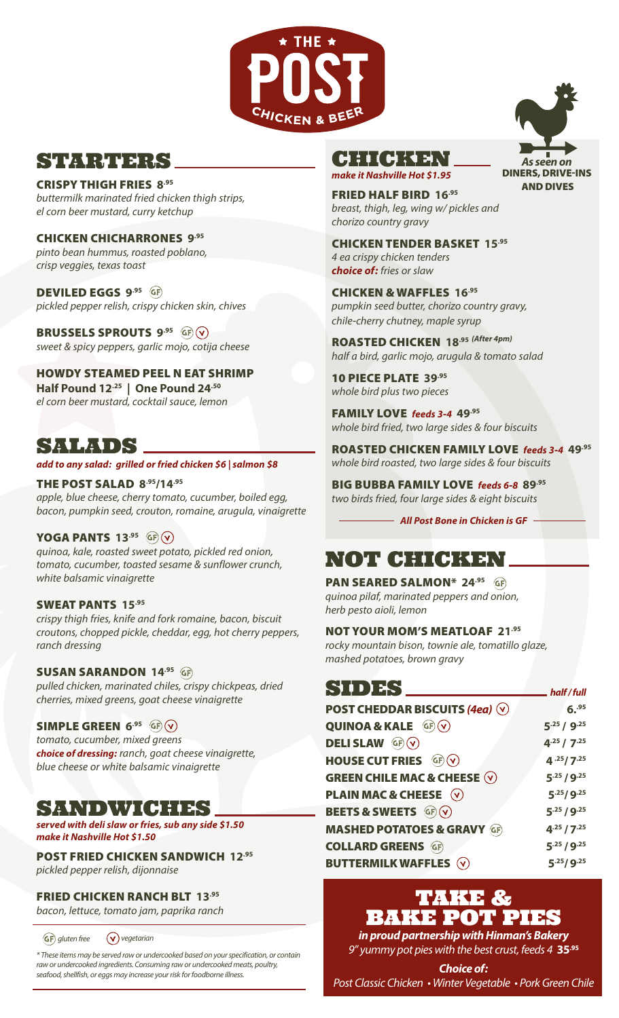

# STRIKER BERS

CRISPY THIGH FRIES **8.95** *buttermilk marinated fried chicken thigh strips,* 

*el corn beer mustard, curry ketchup*

CHICKEN CHICHARRONES **9.95** *pinto bean hummus, roasted poblano, crisp veggies, texas toast* 

DEVILED EGGS **9.95**  *pickled pepper relish, crispy chicken skin, chives*

BRUSSELS SPROUTS **9.95**  *sweet & spicy peppers, garlic mojo, cotija cheese* 

HOWDY STEAMED PEEL N EAT SHRIMP **Half Pound 12.25 | One Pound 24.50** *el corn beer mustard, cocktail sauce, lemon*

# SALADS

#### *add to any salad: grilled or fried chicken \$6 | salmon \$8*

THE POST SALAD **8.95/14.95** *apple, blue cheese, cherry tomato, cucumber, boiled egg, bacon, pumpkin seed, crouton, romaine, arugula, vinaigrette*

### YOGA PANTS **13.95**

*quinoa, kale, roasted sweet potato, pickled red onion, tomato, cucumber, toasted sesame & sunflower crunch, white balsamic vinaigrette*

### SWEAT PANTS **15.95**

*crispy thigh fries, knife and fork romaine, bacon, biscuit croutons, chopped pickle, cheddar, egg, hot cherry peppers, ranch dressing*

### SUSAN SARANDON **14.95**

*pulled chicken, marinated chiles, crispy chickpeas, dried cherries, mixed greens, goat cheese vinaigrette*

### SIMPLE GREEN **6.95**

*tomato, cucumber, mixed greens choice of dressing: ranch, goat cheese vinaigrette, blue cheese or white balsamic vinaigrette*

## SANDWICHES

#### *served with deli slaw or fries, sub any side \$1.50 make it Nashville Hot \$1.50*

POST FRIED CHICKEN SANDWICH **12.95**

*pickled pepper relish, dijonnaise*

### FRIED CHICKEN RANCH BLT **13.95**

*bacon, lettuce, tomato jam, paprika ranch*

*GF* gluten free  $(v)$  vegetarian

*\* These items may be served raw or undercooked based on your specification, or contain raw or undercooked ingredients. Consuming raw or undercooked meats, poultry, seafood, shellfish, or eggs may increase your risk for foodborne illness.*



*make it Nashville Hot \$1.95*

*As seen on*  DINERS, DRIVE-INS AND DIVES

FRIED HALF BIRD **16.95** *breast, thigh, leg, wing w/ pickles and chorizo country gravy* 

CHICKEN TENDER BASKET **15.95** *4 ea crispy chicken tenders choice of: fries or slaw*

CHICKEN & WAFFLES **16.95** *pumpkin seed butter, chorizo country gravy, chile-cherry chutney, maple syrup* 

ROASTED CHICKEN **18.95** *(After 4pm) half a bird, garlic mojo, arugula & tomato salad* 

10 PIECE PLATE **39.95** *whole bird plus two pieces*

FAMILY LOVE *feeds 3-4* **49.95** *whole bird fried, two large sides & four biscuits*

ROASTED CHICKEN FAMILY LOVE *feeds 3-4* **49.95** *whole bird roasted, two large sides & four biscuits*

BIG BUBBA FAMILY LOVE *feeds 6-8* **89.95** *two birds fried, four large sides & eight biscuits*

**All Post Bone in Chicken is GF -**

# NOT CHICKEN

PAN SEARED SALMON\* **24.95**  *quinoa pilaf, marinated peppers and onion, herb pesto aioli, lemon*

### NOT YOUR MOM'S MEATLOAF **21.95**

*rocky mountain bison, townie ale, tomatillo glaze, mashed potatoes, brown gravy*

| $S(D)$ $S$                                                  | half/full           |
|-------------------------------------------------------------|---------------------|
| <b>POST CHEDDAR BISCUITS (4ea)</b> V                        | $6.^{95}$           |
| QUINOA & KALE $GF(V)$                                       | 5.25 / 9.25         |
| <b>DELISLAW GP (V)</b>                                      | $4^{.25} / 7^{.25}$ |
| HOUSE CUT FRIES GF (v)                                      | 4.25/7.25           |
| <b>GREEN CHILE MAC &amp; CHEESE <math>\heartsuit</math></b> | $5^{.25}/9^{.25}$   |
| <b>PLAIN MAC &amp; CHEESE (v)</b>                           | 5.25/9.25           |
| BEETS & SWEETS GF V                                         | $5^{.25}/9^{.25}$   |
| <b>MASHED POTATOES &amp; GRAVY GF</b>                       | $4^{.25} / 7^{.25}$ |
| <b>COLLARD GREENS GF</b>                                    | 5.25 / 9.25         |
| <b>BUTTERMILK WAFFLES (V)</b>                               | 5.25/9.25           |

# TAKE & BAKE POT PIES

*in proud partnership with Hinman's Bakery 9" yummy pot pies with the best crust, feeds 4* **35.95**

*Choice of: Post Classic Chicken • Winter Vegetable • Pork Green Chile*